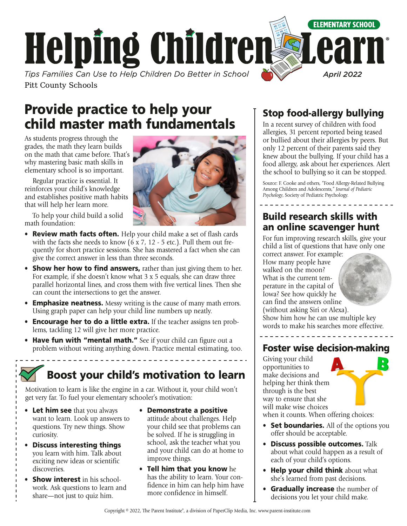

# Provide practice to help your child master math fundamentals

As students progress through the grades, the math they learn builds on the math that came before. That's why mastering basic math skills in elementary school is so important.

Regular practice is essential. It reinforces your child's knowledge and establishes positive math habits that will help her learn more.

To help your child build a solid math foundation:

- Review math facts often. Help your child make a set of flash cards with the facts she needs to know (6 x 7, 12 - 5 etc.). Pull them out frequently for short practice sessions. She has mastered a fact when she can give the correct answer in less than three seconds.
- Show her how to find answers, rather than just giving them to her. For example, if she doesn't know what 3 x 5 equals, she can draw three parallel horizontal lines, and cross them with five vertical lines. Then she can count the intersections to get the answer.
- **Emphasize neatness.** Messy writing is the cause of many math errors. Using graph paper can help your child line numbers up neatly.
- Encourage her to do a little extra. If the teacher assigns ten problems, tackling 12 will give her more practice.
- Have fun with "mental math." See if your child can figure out a problem without writing anything down. Practice mental estimating, too.

## Boost your child's motivation to learn

Motivation to learn is like the engine in a car. Without it, your child won't get very far. To fuel your elementary schooler's motivation:

- Let him see that you always want to learn. Look up answers to questions. Try new things. Show curiosity.
- Discuss interesting things you learn with him. Talk about exciting new ideas or scientific discoveries.
- Show interest in his schoolwork. Ask questions to learn and share—not just to quiz him.
- Demonstrate a positive attitude about challenges. Help your child see that problems can be solved. If he is struggling in school, ask the teacher what you and your child can do at home to improve things.
- Tell him that you know he has the ability to learn. Your confidence in him can help him have more confidence in himself.

## Stop food-allergy bullying

In a recent survey of children with food allergies, 31 percent reported being teased or bullied about their allergies by peers. But only 12 percent of their parents said they knew about the bullying. If your child has a food allergy, ask about her experiences. Alert the school to bullying so it can be stopped.

Source: F. Cooke and others, "Food Allergy-Related Bullying Among Children and Adolescents," *Journal of Pediatric Psychology*, Society of Pediatric Psychology.

## Build research skills with an online scavenger hunt

For fun improving research skills, give your child a list of questions that have only one

correct answer. For example: How many people have walked on the moon? What is the current temperature in the capital of Iowa? See how quickly he can find the answers online (without asking Siri or Alexa). Show him how he can use multiple key words to make his searches more effective.

## Foster wise decision-making

Giving your child opportunities to make decisions and helping her think them through is the best way to ensure that she will make wise choices when it counts. When offering choices:

- Set boundaries. All of the options you offer should be acceptable.
- Discuss possible outcomes. Talk about what could happen as a result of each of your child's options.
- Help your child think about what she's learned from past decisions.
- **Gradually increase** the number of decisions you let your child make.